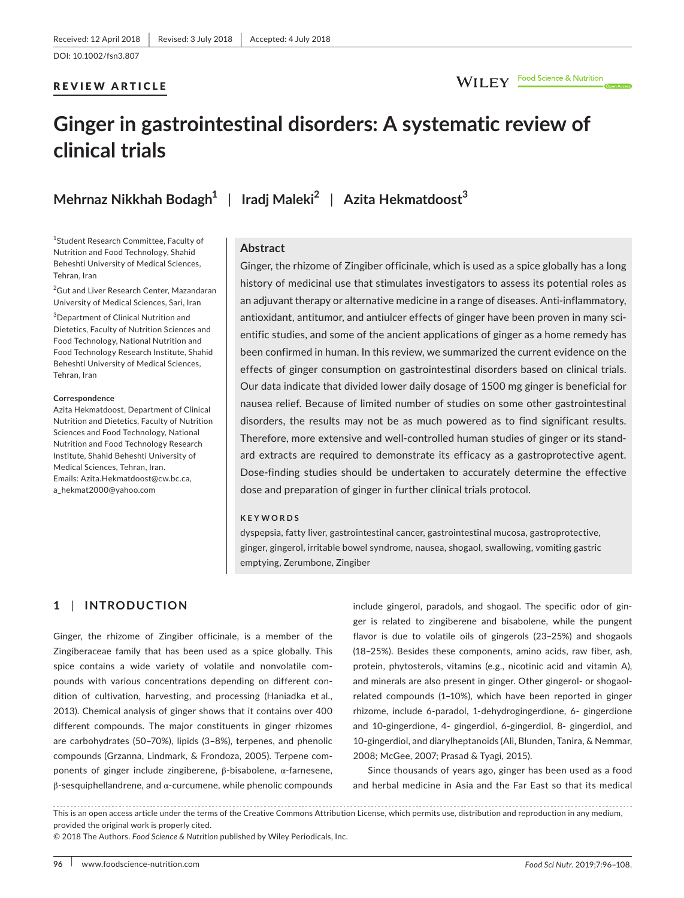## WILEY Food Science & Nutrition

# **Ginger in gastrointestinal disorders: A systematic review of clinical trials**

**Mehrnaz Nikkhah Bodagh<sup>1</sup>** | **Iradj Maleki<sup>2</sup>** | **Azita Hekmatdoost<sup>3</sup>**

1 Student Research Committee, Faculty of Nutrition and Food Technology, Shahid Beheshti University of Medical Sciences, Tehran, Iran

<sup>2</sup>Gut and Liver Research Center, Mazandaran University of Medical Sciences, Sari, Iran

3 Department of Clinical Nutrition and Dietetics, Faculty of Nutrition Sciences and Food Technology, National Nutrition and Food Technology Research Institute, Shahid Beheshti University of Medical Sciences, Tehran, Iran

#### **Correspondence**

Azita Hekmatdoost, Department of Clinical Nutrition and Dietetics, Faculty of Nutrition Sciences and Food Technology, National Nutrition and Food Technology Research Institute, Shahid Beheshti University of Medical Sciences, Tehran, Iran. Emails: [Azita.Hekmatdoost@cw.bc.ca](mailto:Azita.Hekmatdoost@cw.bc.ca), [a\\_hekmat2000@yahoo.com](mailto:a_hekmat2000@yahoo.com)

#### **Abstract**

Ginger, the rhizome of Zingiber officinale, which is used as a spice globally has a long history of medicinal use that stimulates investigators to assess its potential roles as an adjuvant therapy or alternative medicine in a range of diseases. Anti-inflammatory, antioxidant, antitumor, and antiulcer effects of ginger have been proven in many scientific studies, and some of the ancient applications of ginger as a home remedy has been confirmed in human. In this review, we summarized the current evidence on the effects of ginger consumption on gastrointestinal disorders based on clinical trials. Our data indicate that divided lower daily dosage of 1500 mg ginger is beneficial for nausea relief. Because of limited number of studies on some other gastrointestinal disorders, the results may not be as much powered as to find significant results. Therefore, more extensive and well-controlled human studies of ginger or its standard extracts are required to demonstrate its efficacy as a gastroprotective agent. Dose-finding studies should be undertaken to accurately determine the effective dose and preparation of ginger in further clinical trials protocol.

#### **KEYWORDS**

dyspepsia, fatty liver, gastrointestinal cancer, gastrointestinal mucosa, gastroprotective, ginger, gingerol, irritable bowel syndrome, nausea, shogaol, swallowing, vomiting gastric emptying, Zerumbone, Zingiber

## **1** | **INTRODUCTION**

Ginger, the rhizome of Zingiber officinale, is a member of the Zingiberaceae family that has been used as a spice globally. This spice contains a wide variety of volatile and nonvolatile compounds with various concentrations depending on different condition of cultivation, harvesting, and processing (Haniadka et al., 2013). Chemical analysis of ginger shows that it contains over 400 different compounds. The major constituents in ginger rhizomes are carbohydrates (50–70%), lipids (3–8%), terpenes, and phenolic compounds (Grzanna, Lindmark, & Frondoza, 2005). Terpene components of ginger include zingiberene, β-bisabolene, α-farnesene, β-sesquiphellandrene, and α-curcumene, while phenolic compounds include gingerol, paradols, and shogaol. The specific odor of ginger is related to zingiberene and bisabolene, while the pungent flavor is due to volatile oils of gingerols (23–25%) and shogaols (18–25%). Besides these components, amino acids, raw fiber, ash, protein, phytosterols, vitamins (e.g., nicotinic acid and vitamin A), and minerals are also present in ginger. Other gingerol- or shogaolrelated compounds (1–10%), which have been reported in ginger rhizome, include 6-paradol, 1-dehydrogingerdione, 6- gingerdione and 10-gingerdione, 4- gingerdiol, 6-gingerdiol, 8- gingerdiol, and 10-gingerdiol, and diarylheptanoids (Ali, Blunden, Tanira, & Nemmar, 2008; McGee, 2007; Prasad & Tyagi, 2015).

Since thousands of years ago, ginger has been used as a food and herbal medicine in Asia and the Far East so that its medical

This is an open access article under the terms of the [Creative Commons Attribution](http://creativecommons.org/licenses/by/4.0/) License, which permits use, distribution and reproduction in any medium, provided the original work is properly cited.

© 2018 The Authors. *Food Science & Nutrition* published by Wiley Periodicals, Inc.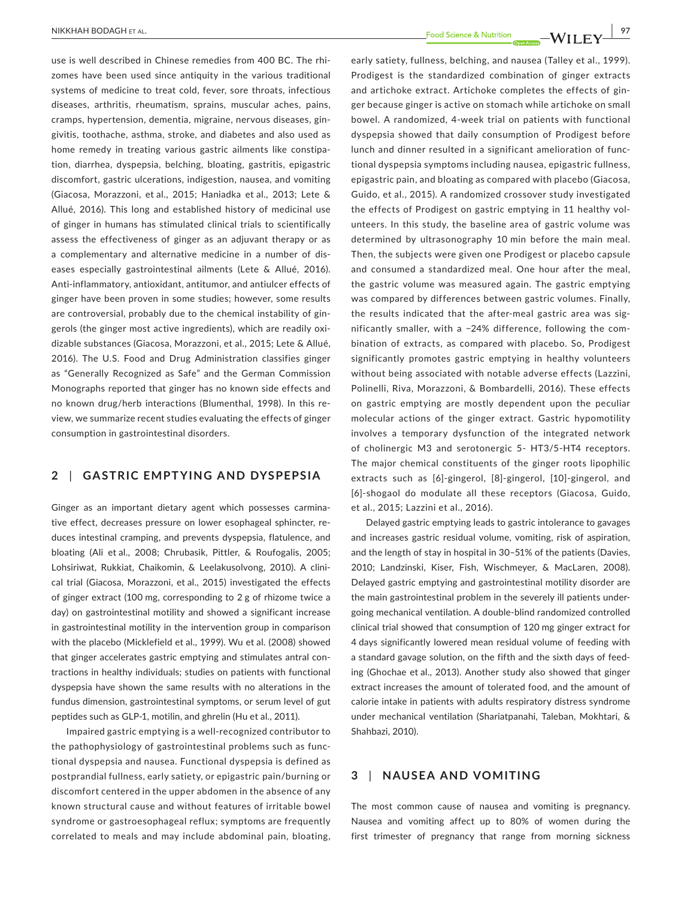use is well described in Chinese remedies from 400 BC. The rhizomes have been used since antiquity in the various traditional systems of medicine to treat cold, fever, sore throats, infectious diseases, arthritis, rheumatism, sprains, muscular aches, pains, cramps, hypertension, dementia, migraine, nervous diseases, gingivitis, toothache, asthma, stroke, and diabetes and also used as home remedy in treating various gastric ailments like constipation, diarrhea, dyspepsia, belching, bloating, gastritis, epigastric discomfort, gastric ulcerations, indigestion, nausea, and vomiting (Giacosa, Morazzoni, et al., 2015; Haniadka et al., 2013; Lete & Allué, 2016). This long and established history of medicinal use of ginger in humans has stimulated clinical trials to scientifically assess the effectiveness of ginger as an adjuvant therapy or as a complementary and alternative medicine in a number of diseases especially gastrointestinal ailments (Lete & Allué, 2016). Anti-inflammatory, antioxidant, antitumor, and antiulcer effects of ginger have been proven in some studies; however, some results are controversial, probably due to the chemical instability of gingerols (the ginger most active ingredients), which are readily oxidizable substances (Giacosa, Morazzoni, et al., 2015; Lete & Allué, 2016). The U.S. Food and Drug Administration classifies ginger as "Generally Recognized as Safe" and the German Commission Monographs reported that ginger has no known side effects and no known drug/herb interactions (Blumenthal, 1998). In this review, we summarize recent studies evaluating the effects of ginger consumption in gastrointestinal disorders.

## **2** | **GASTRIC EMPTYING AND DYSPEPSIA**

Ginger as an important dietary agent which possesses carminative effect, decreases pressure on lower esophageal sphincter, reduces intestinal cramping, and prevents dyspepsia, flatulence, and bloating (Ali et al., 2008; Chrubasik, Pittler, & Roufogalis, 2005; Lohsiriwat, Rukkiat, Chaikomin, & Leelakusolvong, 2010). A clinical trial (Giacosa, Morazzoni, et al., 2015) investigated the effects of ginger extract (100 mg, corresponding to 2 g of rhizome twice a day) on gastrointestinal motility and showed a significant increase in gastrointestinal motility in the intervention group in comparison with the placebo (Micklefield et al., 1999). Wu et al. (2008) showed that ginger accelerates gastric emptying and stimulates antral contractions in healthy individuals; studies on patients with functional dyspepsia have shown the same results with no alterations in the fundus dimension, gastrointestinal symptoms, or serum level of gut peptides such as GLP-1, motilin, and ghrelin (Hu et al., 2011).

Impaired gastric emptying is a well-recognized contributor to the pathophysiology of gastrointestinal problems such as functional dyspepsia and nausea. Functional dyspepsia is defined as postprandial fullness, early satiety, or epigastric pain/burning or discomfort centered in the upper abdomen in the absence of any known structural cause and without features of irritable bowel syndrome or gastroesophageal reflux; symptoms are frequently correlated to meals and may include abdominal pain, bloating,

early satiety, fullness, belching, and nausea (Talley et al., 1999). Prodigest is the standardized combination of ginger extracts and artichoke extract. Artichoke completes the effects of ginger because ginger is active on stomach while artichoke on small bowel. A randomized, 4-week trial on patients with functional dyspepsia showed that daily consumption of Prodigest before lunch and dinner resulted in a significant amelioration of functional dyspepsia symptoms including nausea, epigastric fullness, epigastric pain, and bloating as compared with placebo (Giacosa, Guido, et al., 2015). A randomized crossover study investigated the effects of Prodigest on gastric emptying in 11 healthy volunteers. In this study, the baseline area of gastric volume was determined by ultrasonography 10 min before the main meal. Then, the subjects were given one Prodigest or placebo capsule and consumed a standardized meal. One hour after the meal, the gastric volume was measured again. The gastric emptying was compared by differences between gastric volumes. Finally, the results indicated that the after-meal gastric area was significantly smaller, with a −24% difference, following the combination of extracts, as compared with placebo. So, Prodigest significantly promotes gastric emptying in healthy volunteers without being associated with notable adverse effects (Lazzini, Polinelli, Riva, Morazzoni, & Bombardelli, 2016). These effects on gastric emptying are mostly dependent upon the peculiar molecular actions of the ginger extract. Gastric hypomotility involves a temporary dysfunction of the integrated network of cholinergic M3 and serotonergic 5- HT3/5-HT4 receptors. The major chemical constituents of the ginger roots lipophilic extracts such as [6]-gingerol, [8]-gingerol, [10]-gingerol, and [6]-shogaol do modulate all these receptors (Giacosa, Guido, et al., 2015; Lazzini et al., 2016).

Delayed gastric emptying leads to gastric intolerance to gavages and increases gastric residual volume, vomiting, risk of aspiration, and the length of stay in hospital in 30–51% of the patients (Davies, 2010; Landzinski, Kiser, Fish, Wischmeyer, & MacLaren, 2008). Delayed gastric emptying and gastrointestinal motility disorder are the main gastrointestinal problem in the severely ill patients undergoing mechanical ventilation. A double-blind randomized controlled clinical trial showed that consumption of 120 mg ginger extract for 4 days significantly lowered mean residual volume of feeding with a standard gavage solution, on the fifth and the sixth days of feeding (Ghochae et al., 2013). Another study also showed that ginger extract increases the amount of tolerated food, and the amount of calorie intake in patients with adults respiratory distress syndrome under mechanical ventilation (Shariatpanahi, Taleban, Mokhtari, & Shahbazi, 2010).

#### **3** | **NAUSEA AND VOMITING**

The most common cause of nausea and vomiting is pregnancy. Nausea and vomiting affect up to 80% of women during the first trimester of pregnancy that range from morning sickness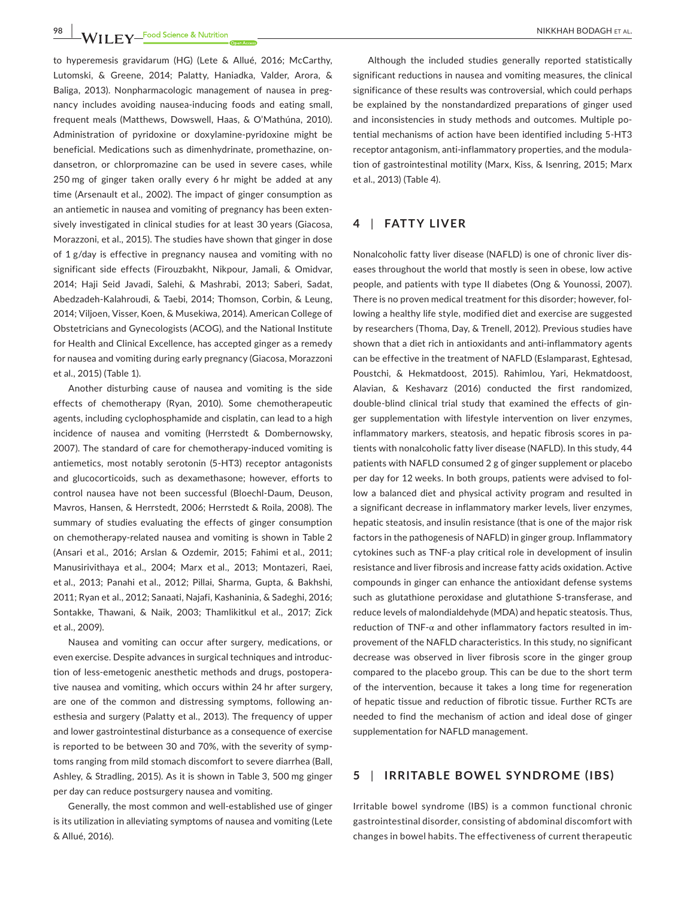**98 |**  NIKKHAH BODAGH et al.

to hyperemesis gravidarum (HG) (Lete & Allué, 2016; McCarthy, Lutomski, & Greene, 2014; Palatty, Haniadka, Valder, Arora, & Baliga, 2013). Nonpharmacologic management of nausea in pregnancy includes avoiding nausea-inducing foods and eating small, frequent meals (Matthews, Dowswell, Haas, & O'Mathúna, 2010). Administration of pyridoxine or doxylamine-pyridoxine might be beneficial. Medications such as dimenhydrinate, promethazine, ondansetron, or chlorpromazine can be used in severe cases, while 250 mg of ginger taken orally every 6 hr might be added at any time (Arsenault et al., 2002). The impact of ginger consumption as an antiemetic in nausea and vomiting of pregnancy has been extensively investigated in clinical studies for at least 30 years (Giacosa, Morazzoni, et al., 2015). The studies have shown that ginger in dose of 1 g/day is effective in pregnancy nausea and vomiting with no significant side effects (Firouzbakht, Nikpour, Jamali, & Omidvar, 2014; Haji Seid Javadi, Salehi, & Mashrabi, 2013; Saberi, Sadat, Abedzadeh-Kalahroudi, & Taebi, 2014; Thomson, Corbin, & Leung, 2014; Viljoen, Visser, Koen, & Musekiwa, 2014). American College of Obstetricians and Gynecologists (ACOG), and the National Institute for Health and Clinical Excellence, has accepted ginger as a remedy for nausea and vomiting during early pregnancy (Giacosa, Morazzoni et al., 2015) (Table 1).

Another disturbing cause of nausea and vomiting is the side effects of chemotherapy (Ryan, 2010). Some chemotherapeutic agents, including cyclophosphamide and cisplatin, can lead to a high incidence of nausea and vomiting (Herrstedt & Dombernowsky, 2007). The standard of care for chemotherapy-induced vomiting is antiemetics, most notably serotonin (5-HT3) receptor antagonists and glucocorticoids, such as dexamethasone; however, efforts to control nausea have not been successful (Bloechl-Daum, Deuson, Mavros, Hansen, & Herrstedt, 2006; Herrstedt & Roila, 2008). The summary of studies evaluating the effects of ginger consumption on chemotherapy-related nausea and vomiting is shown in Table 2 (Ansari et al., 2016; Arslan & Ozdemir, 2015; Fahimi et al., 2011; Manusirivithaya et al., 2004; Marx et al., 2013; Montazeri, Raei, et al., 2013; Panahi et al., 2012; Pillai, Sharma, Gupta, & Bakhshi, 2011; Ryan et al., 2012; Sanaati, Najafi, Kashaninia, & Sadeghi, 2016; Sontakke, Thawani, & Naik, 2003; Thamlikitkul et al., 2017; Zick et al., 2009).

Nausea and vomiting can occur after surgery, medications, or even exercise. Despite advances in surgical techniques and introduction of less-emetogenic anesthetic methods and drugs, postoperative nausea and vomiting, which occurs within 24 hr after surgery, are one of the common and distressing symptoms, following anesthesia and surgery (Palatty et al., 2013). The frequency of upper and lower gastrointestinal disturbance as a consequence of exercise is reported to be between 30 and 70%, with the severity of symptoms ranging from mild stomach discomfort to severe diarrhea (Ball, Ashley, & Stradling, 2015). As it is shown in Table 3, 500 mg ginger per day can reduce postsurgery nausea and vomiting.

Generally, the most common and well-established use of ginger is its utilization in alleviating symptoms of nausea and vomiting (Lete & Allué, 2016).

Although the included studies generally reported statistically significant reductions in nausea and vomiting measures, the clinical significance of these results was controversial, which could perhaps be explained by the nonstandardized preparations of ginger used and inconsistencies in study methods and outcomes. Multiple potential mechanisms of action have been identified including 5-HT3 receptor antagonism, anti-inflammatory properties, and the modulation of gastrointestinal motility (Marx, Kiss, & Isenring, 2015; Marx et al., 2013) (Table 4).

## **4** | **FATTY LIVER**

Nonalcoholic fatty liver disease (NAFLD) is one of chronic liver diseases throughout the world that mostly is seen in obese, low active people, and patients with type II diabetes (Ong & Younossi, 2007). There is no proven medical treatment for this disorder; however, following a healthy life style, modified diet and exercise are suggested by researchers (Thoma, Day, & Trenell, 2012). Previous studies have shown that a diet rich in antioxidants and anti-inflammatory agents can be effective in the treatment of NAFLD (Eslamparast, Eghtesad, Poustchi, & Hekmatdoost, 2015). Rahimlou, Yari, Hekmatdoost, Alavian, & Keshavarz (2016) conducted the first randomized, double-blind clinical trial study that examined the effects of ginger supplementation with lifestyle intervention on liver enzymes, inflammatory markers, steatosis, and hepatic fibrosis scores in patients with nonalcoholic fatty liver disease (NAFLD). In this study, 44 patients with NAFLD consumed 2 g of ginger supplement or placebo per day for 12 weeks. In both groups, patients were advised to follow a balanced diet and physical activity program and resulted in a significant decrease in inflammatory marker levels, liver enzymes, hepatic steatosis, and insulin resistance (that is one of the major risk factors in the pathogenesis of NAFLD) in ginger group. Inflammatory cytokines such as TNF-a play critical role in development of insulin resistance and liver fibrosis and increase fatty acids oxidation. Active compounds in ginger can enhance the antioxidant defense systems such as glutathione peroxidase and glutathione S-transferase, and reduce levels of malondialdehyde (MDA) and hepatic steatosis. Thus, reduction of TNF-α and other inflammatory factors resulted in improvement of the NAFLD characteristics. In this study, no significant decrease was observed in liver fibrosis score in the ginger group compared to the placebo group. This can be due to the short term of the intervention, because it takes a long time for regeneration of hepatic tissue and reduction of fibrotic tissue. Further RCTs are needed to find the mechanism of action and ideal dose of ginger supplementation for NAFLD management.

## **5** | **IRRITABLE BOWEL SYNDROME (IBS)**

Irritable bowel syndrome (IBS) is a common functional chronic gastrointestinal disorder, consisting of abdominal discomfort with changes in bowel habits. The effectiveness of current therapeutic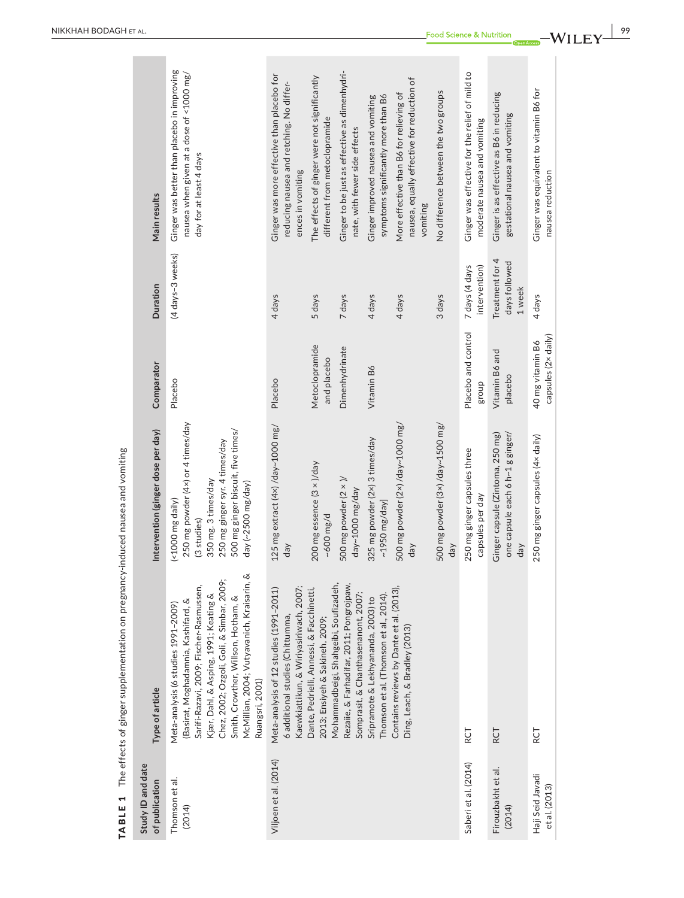|                                     | <code>TABLE 1</code> The effects of ginger supplementation on pregnancy-induced nausea and vomiting                                                                                                                                                                                                                 |                                                                                                                                                                                           |                                         |                                            |                                                                                                                    |
|-------------------------------------|---------------------------------------------------------------------------------------------------------------------------------------------------------------------------------------------------------------------------------------------------------------------------------------------------------------------|-------------------------------------------------------------------------------------------------------------------------------------------------------------------------------------------|-----------------------------------------|--------------------------------------------|--------------------------------------------------------------------------------------------------------------------|
| Study ID and date<br>of publication | Type of article                                                                                                                                                                                                                                                                                                     | Intervention (ginger dose per day)                                                                                                                                                        | Comparator                              | Duration                                   | Main results                                                                                                       |
| Thomson et al.<br>(2014)            | McMillian, 2004; Vutyavanich, Kraisarin, &<br>Chez, 2002; Ozgoli, Goli, & Simbar, 2009;<br>Sarifi-Razavi, 2009; Fischer-Rasmussen,<br>Kjær, Dahl, & Asping, 1991; Keating &<br>Smith, Crowther, Willson, Hotham, &<br>(Basirat, Moghadamnia, Kashifard, &<br>Meta-analysis (6 studies 1991-2009)<br>Ruangsri, 2001) | 250 mg powder (4x) or 4 times/day<br>500 mg ginger biscuit, five times/<br>250 mg ginger syr. 4 times/day<br>350 mg. 3 times/day<br>day (~2500 mg/day)<br>(<1000 mg daily)<br>(3 studies) | Placebo                                 | (4 days-3 weeks)                           | Ginger was better than placebo in improving<br>nausea when given at a dose of <1000 mg/<br>day for at least 4 days |
| Viljoen et al. (2014)               | Kaewkiattikun, & Wiriyasiriwach, 2007;<br>Meta-analysis of 12 studies (1991-2011)<br>6 additional studies (Chittumma,                                                                                                                                                                                               | 125 mg extract (4x) /day~1000 mg/<br>day                                                                                                                                                  | Placebo                                 | 4 days                                     | Ginger was more effective than placebo for<br>reducing nausea and retching. No differ-<br>ences in vomiting        |
|                                     | Dante, Pedrielli, Annessi, & Facchinetti,<br>2013; Ensiyeh & Sakineh, 2009;                                                                                                                                                                                                                                         | 200 mg essence (3 x )/day<br>$-600$ mg/d                                                                                                                                                  | Metoclopramide<br>and placebo           | 5 days                                     | The effects of ginger were not significantly<br>different from metoclopramide                                      |
|                                     | Rezaile, & Farhadifar, 2011; Pongrojpaw,                                                                                                                                                                                                                                                                            | 500 mg powder $(2 \times)$ /<br>day~1000 mg/day                                                                                                                                           | Dimenhydrinate                          | 7 days                                     | Ginger to be just as effective as dimenhydri-<br>nate, with fewer side effects                                     |
|                                     | Thomson et al. (Thomson et al., 2014)<br>Sripramote & Lekhyananda, 2003) to                                                                                                                                                                                                                                         | 325 mg powder (2x) 3 times/day<br>$~\sim$ 1950 mg/day]                                                                                                                                    | Vitamin B6                              | 4 days                                     | symptoms significantly more than B6<br>Ginger improved nausea and vomiting                                         |
|                                     | Ding, Leach, & Bradley (2013)                                                                                                                                                                                                                                                                                       | 500 mg powder (2x) /day~1000 mg/<br>day                                                                                                                                                   |                                         | 4 days                                     | nausea, equally effective for reduction of<br>More effective than B6 for relieving of<br>vomiting                  |
|                                     |                                                                                                                                                                                                                                                                                                                     | 500 mg powder (3×) /day~1500 mg/<br>day                                                                                                                                                   |                                         | 3 days                                     | No difference between the two groups                                                                               |
| Saberi et al. (2014)                | <b>RCT</b>                                                                                                                                                                                                                                                                                                          | 250 mg ginger capsules three<br>capsules per day                                                                                                                                          | Placebo and control<br>qnong            | intervention)<br>7 days (4 days            | Ginger was effective for the relief of mild to<br>moderate nausea and vomiting                                     |
| Firouzbakht et al.<br>(2014)        | RCT                                                                                                                                                                                                                                                                                                                 | Ginger capsule (Zintoma, 250 mg)<br>one capsule each 6 h~1 g ginger/<br>day                                                                                                               | Vitamin B6 and<br>placebo               | Treatment for 4<br>days followed<br>1 week | Ginger is as effective as B6 in reducing<br>gestational nausea and vomiting                                        |
| Haji Seid Javadi<br>et al. (2013)   | RCT                                                                                                                                                                                                                                                                                                                 | 250 mg ginger capsules (4x daily)                                                                                                                                                         | capsules (2x daily)<br>40 mg vitamin B6 | 4 days                                     | Ginger was equivalent to vitamin B6 for<br>nausea reduction                                                        |
|                                     | Mohammadbeigi, Shahgeibi, Soufizadeh,<br>Contains reviews by Dante et al. (2013),<br>Somprasit, & Chanthasenanont, 2007;                                                                                                                                                                                            |                                                                                                                                                                                           |                                         |                                            |                                                                                                                    |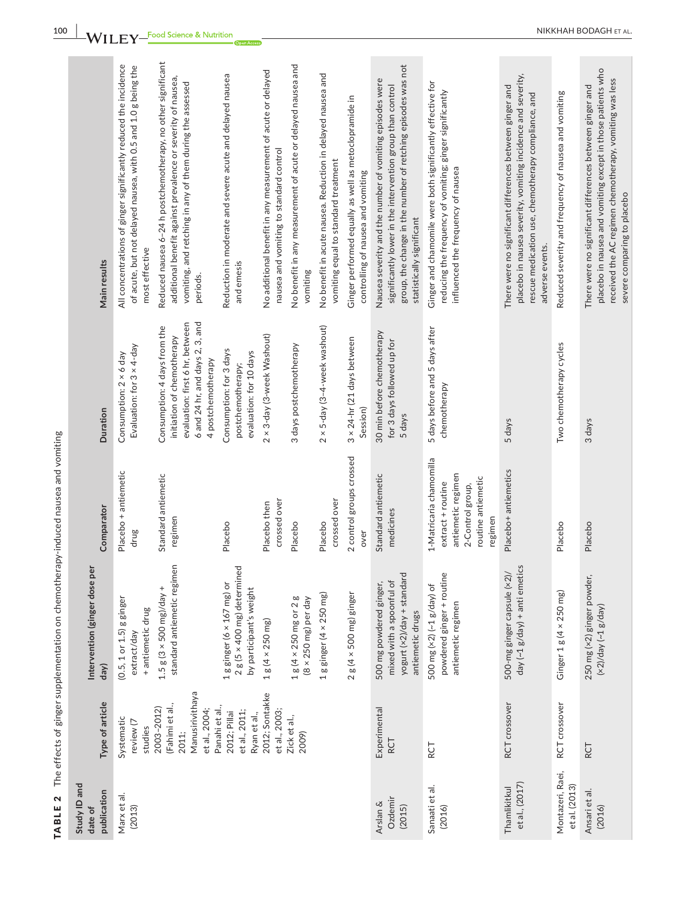|              | Main results                          | All concentrations of ginger significantly reduced the incidence<br>of acute, but not delayed nausea, with 0.5 and 1.0 g being the<br>most effective | Reduced nausea 6-24 h postchemotherapy, no other significant<br>additional benefit against prevalence or severity of nausea,<br>vomiting, and retching in any of them during the assessed<br>periods. | Reduction in moderate and severe acute and delayed nausea<br>and emesis                             | No additional benefit in any measurement of acute or delayed<br>nausea and vomiting to standard control | No benefit in any measurement of acute or delayed nausea and<br>vomiting | No benefit in acute nausea. Reduction in delayed nausea and<br>vomiting equal to standard treatment | Ginger performed equally as well as metoclopramide in<br>controlling of nausea and vomiting | group, the change in the number of retching episodes was not<br>Nausea severity and the number of vomiting episodes were<br>significantly lower in the intervention group than control<br>statistically significant | Ginger and chamomile were both significantly effective for<br>reducing the frequency of vomiting; ginger significantly<br>influenced the frequency of nausea | placebo in nausea severity, vomiting incidence and severity,<br>There were no significant differences between ginger and<br>rescue medication use, chemotherapy compliance, and<br>adverse events. | Reduced severity and frequency of nausea and vomiting | placebo in nausea and vomiting except in those patients who<br>received the AC regimen chemotherapy, vomiting was less<br>There were no significant differences between ginger and |
|--------------|---------------------------------------|------------------------------------------------------------------------------------------------------------------------------------------------------|-------------------------------------------------------------------------------------------------------------------------------------------------------------------------------------------------------|-----------------------------------------------------------------------------------------------------|---------------------------------------------------------------------------------------------------------|--------------------------------------------------------------------------|-----------------------------------------------------------------------------------------------------|---------------------------------------------------------------------------------------------|---------------------------------------------------------------------------------------------------------------------------------------------------------------------------------------------------------------------|--------------------------------------------------------------------------------------------------------------------------------------------------------------|----------------------------------------------------------------------------------------------------------------------------------------------------------------------------------------------------|-------------------------------------------------------|------------------------------------------------------------------------------------------------------------------------------------------------------------------------------------|
|              |                                       |                                                                                                                                                      |                                                                                                                                                                                                       |                                                                                                     |                                                                                                         |                                                                          |                                                                                                     |                                                                                             |                                                                                                                                                                                                                     |                                                                                                                                                              |                                                                                                                                                                                                    |                                                       |                                                                                                                                                                                    |
|              | Duration                              | Evaluation: for 3 x 4-day<br>Consumption: 2 × 6 day                                                                                                  | 3, and<br>evaluation: first 6 hr, between<br>Consumption: 4 days from the<br>initiation of chemotherapy<br>6 and 24 hr, and days 2,<br>4 postchemotherapy                                             | Consumption: for 3 days<br>evaluation: for 10 days<br>postchemotherapy;                             | 2 × 3-day (3-week Washout)                                                                              | 3 days postchemotherapy                                                  | 2 × 5-day (3-4-week washout)                                                                        | 3 x 24-hr (21 days between<br>Session)                                                      | 30 min before chemotherapy<br>for 3 days followed up for<br>5 days                                                                                                                                                  | 5 days before and 5 days after<br>chemotherapy                                                                                                               | 5 days                                                                                                                                                                                             | Two chemotherapy cycles                               | 3 days                                                                                                                                                                             |
|              | Comparator                            | Placebo + antiemetic<br>drug                                                                                                                         | Standard antiemetic<br>regimen                                                                                                                                                                        | Placebo                                                                                             | crossed over<br>Placebo then                                                                            | Placebo                                                                  | crossed over<br>Placebo                                                                             | 2 control groups crossed<br>over                                                            | Standard antiemetic<br>medicines                                                                                                                                                                                    | 1-Matricaria chamomilla<br>antiemetic regimen<br>routine antiemetic<br>extract + routine<br>2-Control group,<br>regimen                                      | Placebo+ antiemetics                                                                                                                                                                               | Placebo                                               | Placebo                                                                                                                                                                            |
|              | Intervention (ginger dose per<br>day) | $(0.5, 1 or 1.5)$ g ginger<br>+ antiemetic drug<br>extract/day                                                                                       | standard antiemetic regimen<br>$1.5 g(3 \times 500 mg)/day +$                                                                                                                                         | $2 g (5 \times 400 mg)$ determined<br>1 g ginger ( $6 \times 167$ mg) or<br>by participant's weight | $1 g (4 \times 250 mg)$                                                                                 | $1 g (4 \times 250$ mg or $2 g$<br>$(8 \times 250 \text{ mg})$ per day   | $1$ g ginger (4 $\times$ 250 mg)                                                                    | $2 g (4 \times 500 mg)$ ginger                                                              | yogurt (x2)/day + standard<br>mixed with a spoonful of<br>500 mg powdered ginger,<br>antiemetic drugs                                                                                                               | powdered ginger + routine<br>500 mg (×2) (~1 g/day) of<br>antiemetic regimen                                                                                 | day (~1 g/day) + anti emetics<br>500-mg ginger capsule (×2)/                                                                                                                                       | Ginger $1 g (4 \times 250 mg)$                        | 250 mg (×2) ginger powder,<br>$(x2)/day$ $(-1 g/day)$                                                                                                                              |
|              | Type of article                       | Systematic<br>review (7<br>studies                                                                                                                   | Manusirivithaya<br>(Fahimi et al.,<br>2003-2012)<br>et al., 2004;<br>2011;                                                                                                                            | Panahi et al.,<br>et al., 2011;<br>2012; Pillai<br>Ryan et al.,                                     | 2012; Sontakke<br>et al., 2003;                                                                         | Zick et al.,<br>2009)                                                    |                                                                                                     |                                                                                             | Experimental<br>RCT                                                                                                                                                                                                 | RCT                                                                                                                                                          | RCT crossover                                                                                                                                                                                      | RCT crossover                                         | RCT                                                                                                                                                                                |
| Study ID and | publication<br>date of                | Marx et al.<br>(2013)                                                                                                                                |                                                                                                                                                                                                       |                                                                                                     |                                                                                                         |                                                                          |                                                                                                     |                                                                                             | Ozdemir<br>Arslan &<br>(2015)                                                                                                                                                                                       | Sanaati et al.<br>(2016)                                                                                                                                     | et al., (2017)<br>Thamlikitkul                                                                                                                                                                     | Montazeri, Raei,<br>et al. (2013)                     | Ansari et al.<br>(2016)                                                                                                                                                            |

**100**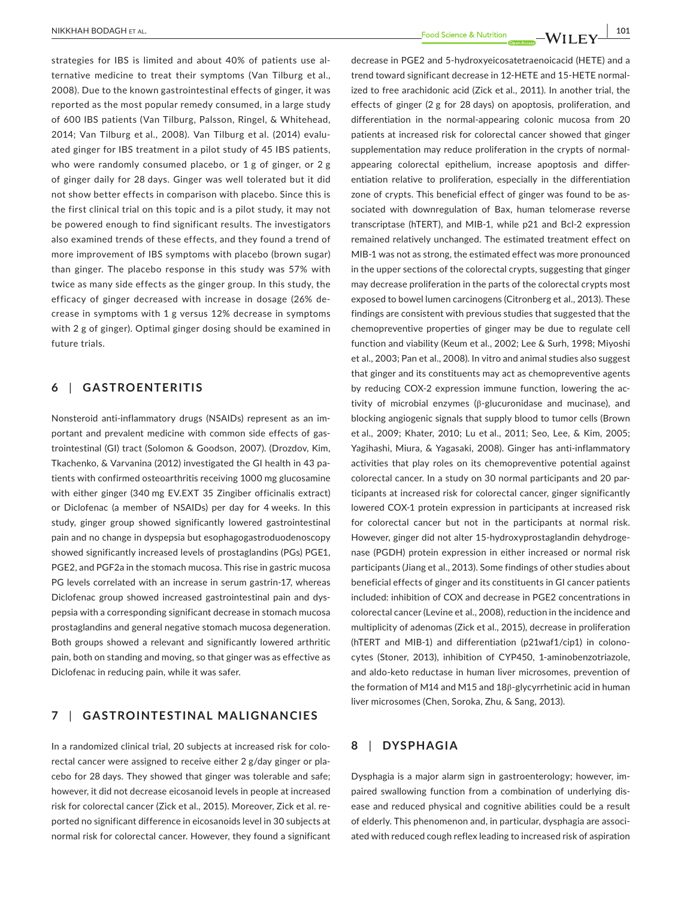**|** NIKKHAH BODAGH et al. **101**

strategies for IBS is limited and about 40% of patients use alternative medicine to treat their symptoms (Van Tilburg et al., 2008). Due to the known gastrointestinal effects of ginger, it was reported as the most popular remedy consumed, in a large study of 600 IBS patients (Van Tilburg, Palsson, Ringel, & Whitehead, 2014; Van Tilburg et al., 2008). Van Tilburg et al. (2014) evaluated ginger for IBS treatment in a pilot study of 45 IBS patients, who were randomly consumed placebo, or 1 g of ginger, or 2 g of ginger daily for 28 days. Ginger was well tolerated but it did not show better effects in comparison with placebo. Since this is the first clinical trial on this topic and is a pilot study, it may not be powered enough to find significant results. The investigators also examined trends of these effects, and they found a trend of more improvement of IBS symptoms with placebo (brown sugar) than ginger. The placebo response in this study was 57% with twice as many side effects as the ginger group. In this study, the efficacy of ginger decreased with increase in dosage (26% decrease in symptoms with 1 g versus 12% decrease in symptoms with 2 g of ginger). Optimal ginger dosing should be examined in future trials.

#### **6** | **GASTROENTERITIS**

Nonsteroid anti-inflammatory drugs (NSAIDs) represent as an important and prevalent medicine with common side effects of gastrointestinal (GI) tract (Solomon & Goodson, 2007). (Drozdov, Kim, Tkachenko, & Varvanina (2012) investigated the GI health in 43 patients with confirmed osteoarthritis receiving 1000 mg glucosamine with either ginger (340 mg EV.EXT 35 Zingiber officinalis extract) or Diclofenac (a member of NSAIDs) per day for 4 weeks. In this study, ginger group showed significantly lowered gastrointestinal pain and no change in dyspepsia but esophagogastroduodenoscopy showed significantly increased levels of prostaglandins (PGs) PGE1, PGE2, and PGF2a in the stomach mucosa. This rise in gastric mucosa PG levels correlated with an increase in serum gastrin-17, whereas Diclofenac group showed increased gastrointestinal pain and dyspepsia with a corresponding significant decrease in stomach mucosa prostaglandins and general negative stomach mucosa degeneration. Both groups showed a relevant and significantly lowered arthritic pain, both on standing and moving, so that ginger was as effective as Diclofenac in reducing pain, while it was safer.

## **7** | **GASTROINTESTINAL MALIGNANCIES**

In a randomized clinical trial, 20 subjects at increased risk for colorectal cancer were assigned to receive either 2 g/day ginger or placebo for 28 days. They showed that ginger was tolerable and safe; however, it did not decrease eicosanoid levels in people at increased risk for colorectal cancer (Zick et al., 2015). Moreover, Zick et al. reported no significant difference in eicosanoids level in 30 subjects at normal risk for colorectal cancer. However, they found a significant decrease in PGE2 and 5-hydroxyeicosatetraenoicacid (HETE) and a trend toward significant decrease in 12-HETE and 15-HETE normalized to free arachidonic acid (Zick et al., 2011). In another trial, the effects of ginger (2 g for 28 days) on apoptosis, proliferation, and differentiation in the normal-appearing colonic mucosa from 20 patients at increased risk for colorectal cancer showed that ginger supplementation may reduce proliferation in the crypts of normalappearing colorectal epithelium, increase apoptosis and differentiation relative to proliferation, especially in the differentiation zone of crypts. This beneficial effect of ginger was found to be associated with downregulation of Bax, human telomerase reverse transcriptase (hTERT), and MIB-1, while p21 and Bcl-2 expression remained relatively unchanged. The estimated treatment effect on MIB-1 was not as strong, the estimated effect was more pronounced in the upper sections of the colorectal crypts, suggesting that ginger may decrease proliferation in the parts of the colorectal crypts most exposed to bowel lumen carcinogens (Citronberg et al., 2013). These findings are consistent with previous studies that suggested that the chemopreventive properties of ginger may be due to regulate cell function and viability (Keum et al., 2002; Lee & Surh, 1998; Miyoshi et al., 2003; Pan et al., 2008). In vitro and animal studies also suggest that ginger and its constituents may act as chemopreventive agents by reducing COX-2 expression immune function, lowering the activity of microbial enzymes (β-glucuronidase and mucinase), and blocking angiogenic signals that supply blood to tumor cells (Brown et al., 2009; Khater, 2010; Lu et al., 2011; Seo, Lee, & Kim, 2005; Yagihashi, Miura, & Yagasaki, 2008). Ginger has anti-inflammatory activities that play roles on its chemopreventive potential against colorectal cancer. In a study on 30 normal participants and 20 participants at increased risk for colorectal cancer, ginger significantly lowered COX-1 protein expression in participants at increased risk for colorectal cancer but not in the participants at normal risk. However, ginger did not alter 15-hydroxyprostaglandin dehydrogenase (PGDH) protein expression in either increased or normal risk participants (Jiang et al., 2013). Some findings of other studies about beneficial effects of ginger and its constituents in GI cancer patients included: inhibition of COX and decrease in PGE2 concentrations in colorectal cancer (Levine et al., 2008), reduction in the incidence and multiplicity of adenomas (Zick et al., 2015), decrease in proliferation (hTERT and MIB-1) and differentiation (p21waf1/cip1) in colonocytes (Stoner, 2013), inhibition of CYP450, 1-aminobenzotriazole, and aldo-keto reductase in human liver microsomes, prevention of the formation of M14 and M15 and 18β-glycyrrhetinic acid in human liver microsomes (Chen, Soroka, Zhu, & Sang, 2013).

## **8** | **DYSPHAGIA**

Dysphagia is a major alarm sign in gastroenterology; however, impaired swallowing function from a combination of underlying disease and reduced physical and cognitive abilities could be a result of elderly. This phenomenon and, in particular, dysphagia are associated with reduced cough reflex leading to increased risk of aspiration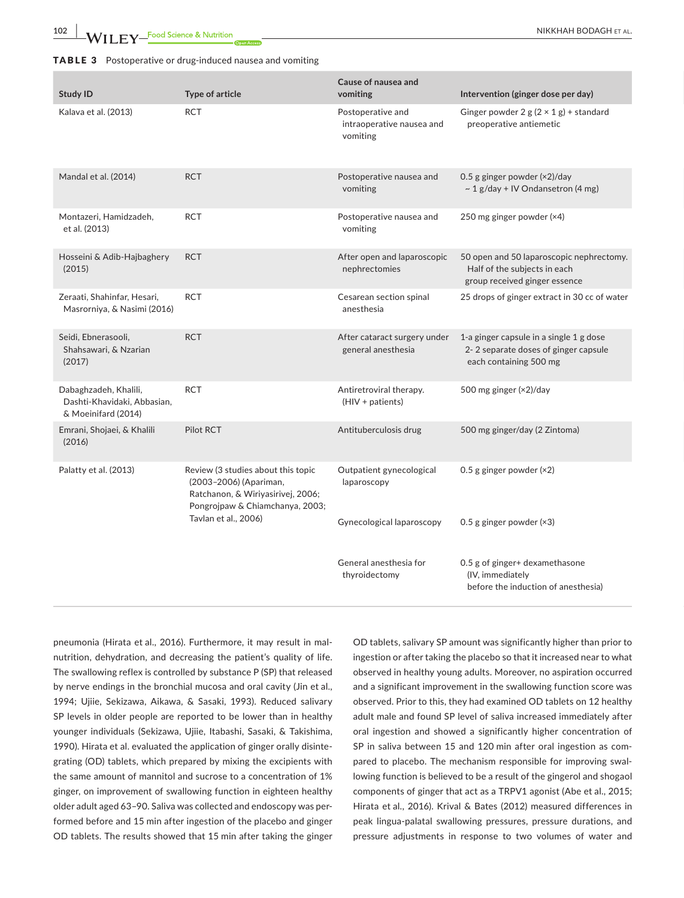**102 |**  NIKKHAH BODAGH et al.

#### TABLE 3 Postoperative or drug-induced nausea and vomiting

| <b>Study ID</b>                                                             | Type of article                                                                                                                      | Cause of nausea and<br>vomiting                            | Intervention (ginger dose per day)                                                                        |
|-----------------------------------------------------------------------------|--------------------------------------------------------------------------------------------------------------------------------------|------------------------------------------------------------|-----------------------------------------------------------------------------------------------------------|
| Kalava et al. (2013)                                                        | <b>RCT</b>                                                                                                                           | Postoperative and<br>intraoperative nausea and<br>vomiting | Ginger powder 2 g $(2 \times 1$ g) + standard<br>preoperative antiemetic                                  |
| Mandal et al. (2014)                                                        | <b>RCT</b>                                                                                                                           | Postoperative nausea and<br>vomiting                       | 0.5 g ginger powder (×2)/day<br>$\sim$ 1 g/day + IV Ondansetron (4 mg)                                    |
| Montazeri, Hamidzadeh,<br>et al. (2013)                                     | <b>RCT</b>                                                                                                                           | Postoperative nausea and<br>vomiting                       | 250 mg ginger powder (×4)                                                                                 |
| Hosseini & Adib-Hajbaghery<br>(2015)                                        | <b>RCT</b>                                                                                                                           | After open and laparoscopic<br>nephrectomies               | 50 open and 50 laparoscopic nephrectomy.<br>Half of the subjects in each<br>group received ginger essence |
| Zeraati, Shahinfar, Hesari,<br>Masrorniya, & Nasimi (2016)                  | <b>RCT</b>                                                                                                                           | Cesarean section spinal<br>anesthesia                      | 25 drops of ginger extract in 30 cc of water                                                              |
| Seidi, Ebnerasooli,<br>Shahsawari, & Nzarian<br>(2017)                      | <b>RCT</b>                                                                                                                           | After cataract surgery under<br>general anesthesia         | 1-a ginger capsule in a single 1 g dose<br>2-2 separate doses of ginger capsule<br>each containing 500 mg |
| Dabaghzadeh, Khalili,<br>Dashti-Khavidaki, Abbasian,<br>& Moeinifard (2014) | <b>RCT</b>                                                                                                                           | Antiretroviral therapy.<br>(HIV + patients)                | 500 mg ginger (×2)/day                                                                                    |
| Emrani, Shojaei, & Khalili<br>(2016)                                        | Pilot RCT                                                                                                                            | Antituberculosis drug                                      | 500 mg ginger/day (2 Zintoma)                                                                             |
| Palatty et al. (2013)                                                       | Review (3 studies about this topic<br>(2003-2006) (Apariman,<br>Ratchanon, & Wiriyasirivej, 2006;<br>Pongrojpaw & Chiamchanya, 2003; | Outpatient gynecological<br>laparoscopy                    | 0.5 g ginger powder $(x2)$                                                                                |
|                                                                             | Tavlan et al., 2006)                                                                                                                 | <b>Gynecological laparoscopy</b>                           | 0.5 g ginger powder $(x3)$                                                                                |
|                                                                             |                                                                                                                                      | General anesthesia for<br>thyroidectomy                    | 0.5 g of ginger+ dexamethasone<br>(IV, immediately<br>before the induction of anesthesia)                 |

pneumonia (Hirata et al., 2016). Furthermore, it may result in malnutrition, dehydration, and decreasing the patient's quality of life. The swallowing reflex is controlled by substance P (SP) that released by nerve endings in the bronchial mucosa and oral cavity (Jin et al., 1994; Ujiie, Sekizawa, Aikawa, & Sasaki, 1993). Reduced salivary SP levels in older people are reported to be lower than in healthy younger individuals (Sekizawa, Ujiie, Itabashi, Sasaki, & Takishima, 1990). Hirata et al. evaluated the application of ginger orally disintegrating (OD) tablets, which prepared by mixing the excipients with the same amount of mannitol and sucrose to a concentration of 1% ginger, on improvement of swallowing function in eighteen healthy older adult aged 63–90. Saliva was collected and endoscopy was performed before and 15 min after ingestion of the placebo and ginger OD tablets. The results showed that 15 min after taking the ginger

OD tablets, salivary SP amount was significantly higher than prior to ingestion or after taking the placebo so that it increased near to what observed in healthy young adults. Moreover, no aspiration occurred and a significant improvement in the swallowing function score was observed. Prior to this, they had examined OD tablets on 12 healthy adult male and found SP level of saliva increased immediately after oral ingestion and showed a significantly higher concentration of SP in saliva between 15 and 120 min after oral ingestion as compared to placebo. The mechanism responsible for improving swallowing function is believed to be a result of the gingerol and shogaol components of ginger that act as a TRPV1 agonist (Abe et al., 2015; Hirata et al., 2016). Krival & Bates (2012) measured differences in peak lingua-palatal swallowing pressures, pressure durations, and pressure adjustments in response to two volumes of water and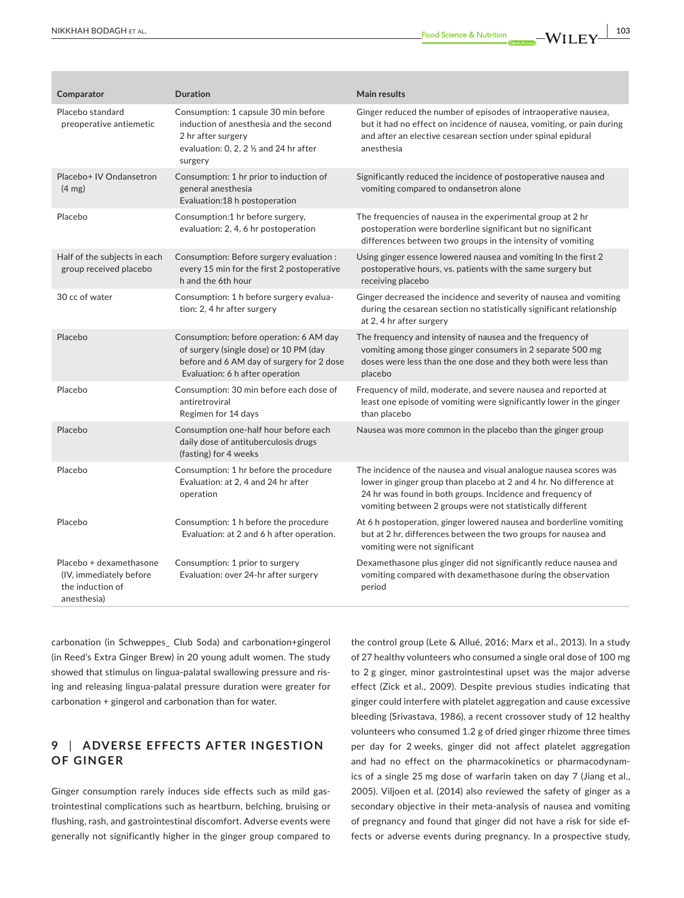| Comparator                                                                             | <b>Duration</b>                                                                                                                                                      | <b>Main results</b>                                                                                                                                                                                                                                                 |
|----------------------------------------------------------------------------------------|----------------------------------------------------------------------------------------------------------------------------------------------------------------------|---------------------------------------------------------------------------------------------------------------------------------------------------------------------------------------------------------------------------------------------------------------------|
| Placebo standard<br>preoperative antiemetic                                            | Consumption: 1 capsule 30 min before<br>induction of anesthesia and the second<br>2 hr after surgery<br>evaluation: 0, 2, 2 $\frac{1}{2}$ and 24 hr after<br>surgery | Ginger reduced the number of episodes of intraoperative nausea,<br>but it had no effect on incidence of nausea, vomiting, or pain during<br>and after an elective cesarean section under spinal epidural<br>anesthesia                                              |
| Placebo+ IV Ondansetron<br>$(4 \text{ mg})$                                            | Consumption: 1 hr prior to induction of<br>general anesthesia<br>Evaluation:18 h postoperation                                                                       | Significantly reduced the incidence of postoperative nausea and<br>vomiting compared to ondansetron alone                                                                                                                                                           |
| Placebo                                                                                | Consumption:1 hr before surgery,<br>evaluation: 2, 4, 6 hr postoperation                                                                                             | The frequencies of nausea in the experimental group at 2 hr<br>postoperation were borderline significant but no significant<br>differences between two groups in the intensity of vomiting                                                                          |
| Half of the subjects in each<br>group received placebo                                 | Consumption: Before surgery evaluation :<br>every 15 min for the first 2 postoperative<br>h and the 6th hour                                                         | Using ginger essence lowered nausea and vomiting In the first 2<br>postoperative hours, vs. patients with the same surgery but<br>receiving placebo                                                                                                                 |
| 30 cc of water                                                                         | Consumption: 1 h before surgery evalua-<br>tion: 2, 4 hr after surgery                                                                                               | Ginger decreased the incidence and severity of nausea and vomiting<br>during the cesarean section no statistically significant relationship<br>at 2, 4 hr after surgery                                                                                             |
| Placebo                                                                                | Consumption: before operation: 6 AM day<br>of surgery (single dose) or 10 PM (day<br>before and 6 AM day of surgery for 2 dose<br>Evaluation: 6 h after operation    | The frequency and intensity of nausea and the frequency of<br>vomiting among those ginger consumers in 2 separate 500 mg<br>doses were less than the one dose and they both were less than<br>placebo                                                               |
| Placebo                                                                                | Consumption: 30 min before each dose of<br>antiretroviral<br>Regimen for 14 days                                                                                     | Frequency of mild, moderate, and severe nausea and reported at<br>least one episode of vomiting were significantly lower in the ginger<br>than placebo                                                                                                              |
| Placebo                                                                                | Consumption one-half hour before each<br>daily dose of antituberculosis drugs<br>(fasting) for 4 weeks                                                               | Nausea was more common in the placebo than the ginger group                                                                                                                                                                                                         |
| Placebo                                                                                | Consumption: 1 hr before the procedure<br>Evaluation: at 2, 4 and 24 hr after<br>operation                                                                           | The incidence of the nausea and visual analogue nausea scores was<br>lower in ginger group than placebo at 2 and 4 hr. No difference at<br>24 hr was found in both groups. Incidence and frequency of<br>vomiting between 2 groups were not statistically different |
| Placebo                                                                                | Consumption: 1 h before the procedure<br>Evaluation: at 2 and 6 h after operation.                                                                                   | At 6 h postoperation, ginger lowered nausea and borderline vomiting<br>but at 2 hr, differences between the two groups for nausea and<br>vomiting were not significant                                                                                              |
| Placebo + dexamethasone<br>(IV, immediately before)<br>the induction of<br>anesthesia) | Consumption: 1 prior to surgery<br>Evaluation: over 24-hr after surgery                                                                                              | Dexamethasone plus ginger did not significantly reduce nausea and<br>vomiting compared with dexamethasone during the observation<br>period                                                                                                                          |

carbonation (in Schweppes\_ Club Soda) and carbonation+gingerol (in Reed's Extra Ginger Brew) in 20 young adult women. The study showed that stimulus on lingua-palatal swallowing pressure and rising and releasing lingua-palatal pressure duration were greater for carbonation + gingerol and carbonation than for water.

## **9** | **ADVERSE EFFEC TS AF TER INGESTION OF GINGER**

Ginger consumption rarely induces side effects such as mild gastrointestinal complications such as heartburn, belching, bruising or flushing, rash, and gastrointestinal discomfort. Adverse events were generally not significantly higher in the ginger group compared to the control group (Lete & Allué, 2016; Marx et al., 2013). In a study of 27 healthy volunteers who consumed a single oral dose of 100 mg to 2 g ginger, minor gastrointestinal upset was the major adverse effect (Zick et al., 2009). Despite previous studies indicating that ginger could interfere with platelet aggregation and cause excessive bleeding (Srivastava, 1986), a recent crossover study of 12 healthy volunteers who consumed 1.2 g of dried ginger rhizome three times per day for 2 weeks, ginger did not affect platelet aggregation and had no effect on the pharmacokinetics or pharmacodynamics of a single 25 mg dose of warfarin taken on day 7 (Jiang et al., 2005). Viljoen et al. (2014) also reviewed the safety of ginger as a secondary objective in their meta-analysis of nausea and vomiting of pregnancy and found that ginger did not have a risk for side effects or adverse events during pregnancy. In a prospective study,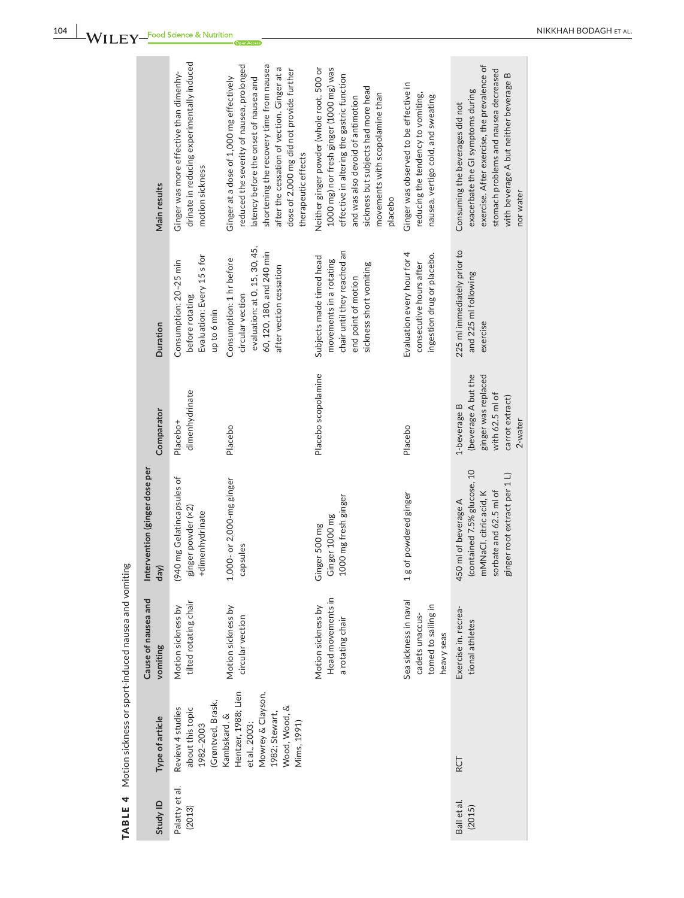| Main results                          | drinate in reducing experimentally induced<br>Ginger was more effective than dimenhy-<br>motion sickness | reduced the severity of nausea, prolonged<br>shortening the recovery time from nausea<br>after the cessation of vection. Ginger at a<br>dose of 2,000 mg did not provide further<br>Ginger at a dose of 1,000 mg effectively<br>latency before the onset of nausea and<br>therapeutic effects | Neither ginger powder (whole root, 500 or<br>1000 mg) nor fresh ginger (1000 mg) was<br>effective in altering the gastric function<br>sickness but subjects had more head<br>movements with scopolamine than<br>and was also devoid of antimotion<br>placebo | Ginger was observed to be effective in<br>reducing the tendency to vomiting,<br>nausea, vertigo cold, and sweating | exercise. After exercise, the prevalence of<br>stomach problems and nausea decreased<br>with beverage A but neither beverage B<br>exacerbate the GI symptoms during<br>Consuming the beverages did not<br>nor water |
|---------------------------------------|----------------------------------------------------------------------------------------------------------|-----------------------------------------------------------------------------------------------------------------------------------------------------------------------------------------------------------------------------------------------------------------------------------------------|--------------------------------------------------------------------------------------------------------------------------------------------------------------------------------------------------------------------------------------------------------------|--------------------------------------------------------------------------------------------------------------------|---------------------------------------------------------------------------------------------------------------------------------------------------------------------------------------------------------------------|
| Duration                              | Evaluation: Every 15 s for<br>Consumption: 20-25 min<br>before rotating<br>up to 6 min                   | evaluation: at 0, 15, 30, 45,<br>60, 120, 180, and 240 min<br>Consumption: 1 hr before<br>after vection cessation<br>circular vection                                                                                                                                                         | chair until they reached an<br>Subjects made timed head<br>movements in a rotating<br>sickness short vomiting<br>end point of motion                                                                                                                         | Evaluation every hour for 4<br>ingestion drug or placebo.<br>consecutive hours after                               | 225 ml immediately prior to<br>and 225 ml following<br>exercise                                                                                                                                                     |
| Comparator                            | dimenhydrinate<br>Placebo <sup>+</sup>                                                                   | Placebo                                                                                                                                                                                                                                                                                       | Placebo scopolamine                                                                                                                                                                                                                                          | Placebo                                                                                                            | (beverage A but the<br>ginger was replaced<br>with 62.5 ml of<br>carrot extract)<br>1-beverage B<br>2-water                                                                                                         |
| Intervention (ginger dose per<br>day) | (940 mg Gelatincapsules of<br>ginger powder (×2)<br>+dimenhydrinate                                      | 1,000- or 2,000-mg ginger<br>capsules                                                                                                                                                                                                                                                         | 1000 mg fresh ginger<br>Ginger 1000 mg<br>Ginger 500 mg                                                                                                                                                                                                      | 1 g of powdered ginger                                                                                             | (contained 7.5% glucose, 10<br>ginger root extract per 1 L)<br>sorbate and 62.5 ml of<br>mMNaCl, citric acid, K<br>450 ml of beverage A                                                                             |
| Cause of nausea and<br>vomiting       | tilted rotating chair<br>Motion sickness by                                                              | Motion sickness by<br>circular vection                                                                                                                                                                                                                                                        | Head movements in<br>Motion sickness by<br>a rotating chair                                                                                                                                                                                                  | Sea sickness in naval<br>tomed to sailing in<br>cadets unaccus-<br>heavy seas                                      | Exercise in. recrea-<br>tional athletes                                                                                                                                                                             |
| Type of article                       | (Grøntved, Brask,<br>Review 4 studies<br>about this topic<br>1982-2003                                   | RCT                                                                                                                                                                                                                                                                                           |                                                                                                                                                                                                                                                              |                                                                                                                    |                                                                                                                                                                                                                     |
| Study ID                              | Palatty et al.<br>(2013)                                                                                 | Ball et al.<br>(2015)                                                                                                                                                                                                                                                                         |                                                                                                                                                                                                                                                              |                                                                                                                    |                                                                                                                                                                                                                     |

TABLE 4 Motion sickness or sport-induced nausea and vomiting TABLE 4 Motion sickness or sport-induced nausea and vomiting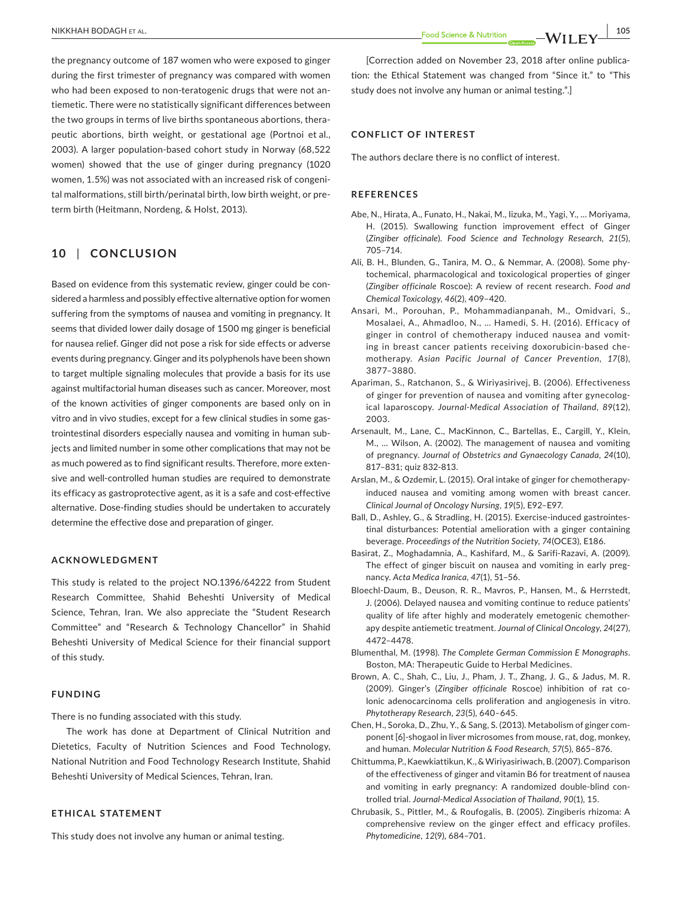the pregnancy outcome of 187 women who were exposed to ginger during the first trimester of pregnancy was compared with women who had been exposed to non-teratogenic drugs that were not antiemetic. There were no statistically significant differences between the two groups in terms of live births spontaneous abortions, therapeutic abortions, birth weight, or gestational age (Portnoi et al., 2003). A larger population-based cohort study in Norway (68,522 women) showed that the use of ginger during pregnancy (1020 women, 1.5%) was not associated with an increased risk of congenital malformations, still birth/perinatal birth, low birth weight, or preterm birth (Heitmann, Nordeng, & Holst, 2013).

## **10** | **CONCLUSION**

Based on evidence from this systematic review, ginger could be considered a harmless and possibly effective alternative option for women suffering from the symptoms of nausea and vomiting in pregnancy. It seems that divided lower daily dosage of 1500 mg ginger is beneficial for nausea relief. Ginger did not pose a risk for side effects or adverse events during pregnancy. Ginger and its polyphenols have been shown to target multiple signaling molecules that provide a basis for its use against multifactorial human diseases such as cancer. Moreover, most of the known activities of ginger components are based only on in vitro and in vivo studies, except for a few clinical studies in some gastrointestinal disorders especially nausea and vomiting in human subjects and limited number in some other complications that may not be as much powered as to find significant results. Therefore, more extensive and well-controlled human studies are required to demonstrate its efficacy as gastroprotective agent, as it is a safe and cost-effective alternative. Dose-finding studies should be undertaken to accurately determine the effective dose and preparation of ginger.

#### **ACKNOWLEDGMENT**

This study is related to the project NO.1396/64222 from Student Research Committee, Shahid Beheshti University of Medical Science, Tehran, Iran. We also appreciate the "Student Research Committee" and "Research & Technology Chancellor" in Shahid Beheshti University of Medical Science for their financial support of this study.

#### **FUNDING**

There is no funding associated with this study.

The work has done at Department of Clinical Nutrition and Dietetics, Faculty of Nutrition Sciences and Food Technology, National Nutrition and Food Technology Research Institute, Shahid Beheshti University of Medical Sciences, Tehran, Iran.

#### **ETHICAL STATEMENT**

This study does not involve any human or animal testing.

[Correction added on November 23, 2018 after online publication: the Ethical Statement was changed from "Since it." to "This study does not involve any human or animal testing.".]

#### **CONFLICT OF INTEREST**

The authors declare there is no conflict of interest.

#### **REFERENCES**

- Abe, N., Hirata, A., Funato, H., Nakai, M., Iizuka, M., Yagi, Y., … Moriyama, H. (2015). Swallowing function improvement effect of Ginger (*Zingiber officinale*). *Food Science and Technology Research*, *21*(5), 705–714.
- Ali, B. H., Blunden, G., Tanira, M. O., & Nemmar, A. (2008). Some phytochemical, pharmacological and toxicological properties of ginger (*Zingiber officinale* Roscoe): A review of recent research. *Food and Chemical Toxicology*, *46*(2), 409–420.
- Ansari, M., Porouhan, P., Mohammadianpanah, M., Omidvari, S., Mosalaei, A., Ahmadloo, N., … Hamedi, S. H. (2016). Efficacy of ginger in control of chemotherapy induced nausea and vomiting in breast cancer patients receiving doxorubicin-based chemotherapy. *Asian Pacific Journal of Cancer Prevention*, *17*(8), 3877–3880.
- Apariman, S., Ratchanon, S., & Wiriyasirivej, B. (2006). Effectiveness of ginger for prevention of nausea and vomiting after gynecological laparoscopy. *Journal-Medical Association of Thailand*, *89*(12), 2003.
- Arsenault, M., Lane, C., MacKinnon, C., Bartellas, E., Cargill, Y., Klein, M., … Wilson, A. (2002). The management of nausea and vomiting of pregnancy. *Journal of Obstetrics and Gynaecology Canada*, *24*(10), 817–831; quiz 832-813.
- Arslan, M., & Ozdemir, L. (2015). Oral intake of ginger for chemotherapyinduced nausea and vomiting among women with breast cancer. *Clinical Journal of Oncology Nursing*, *19*(5), E92–E97.
- Ball, D., Ashley, G., & Stradling, H. (2015). Exercise-induced gastrointestinal disturbances: Potential amelioration with a ginger containing beverage. *Proceedings of the Nutrition Society*, *74*(OCE3), E186.
- Basirat, Z., Moghadamnia, A., Kashifard, M., & Sarifi-Razavi, A. (2009). The effect of ginger biscuit on nausea and vomiting in early pregnancy. *Acta Medica Iranica*, *47*(1), 51–56.
- Bloechl-Daum, B., Deuson, R. R., Mavros, P., Hansen, M., & Herrstedt, J. (2006). Delayed nausea and vomiting continue to reduce patients' quality of life after highly and moderately emetogenic chemotherapy despite antiemetic treatment. *Journal of Clinical Oncology*, *24*(27), 4472–4478.
- Blumenthal, M. (1998). *The Complete German Commission E Monographs*. Boston, MA: Therapeutic Guide to Herbal Medicines.
- Brown, A. C., Shah, C., Liu, J., Pham, J. T., Zhang, J. G., & Jadus, M. R. (2009). Ginger's (*Zingiber officinale* Roscoe) inhibition of rat colonic adenocarcinoma cells proliferation and angiogenesis in vitro. *Phytotherapy Research*, *23*(5), 640–645.
- Chen, H., Soroka, D., Zhu, Y., & Sang, S. (2013). Metabolism of ginger component [6]-shogaol in liver microsomes from mouse, rat, dog, monkey, and human. *Molecular Nutrition & Food Research*, *57*(5), 865–876.
- Chittumma, P., Kaewkiattikun, K., & Wiriyasiriwach, B. (2007). Comparison of the effectiveness of ginger and vitamin B6 for treatment of nausea and vomiting in early pregnancy: A randomized double-blind controlled trial. *Journal-Medical Association of Thailand*, *90*(1), 15.
- Chrubasik, S., Pittler, M., & Roufogalis, B. (2005). Zingiberis rhizoma: A comprehensive review on the ginger effect and efficacy profiles. *Phytomedicine*, *12*(9), 684–701.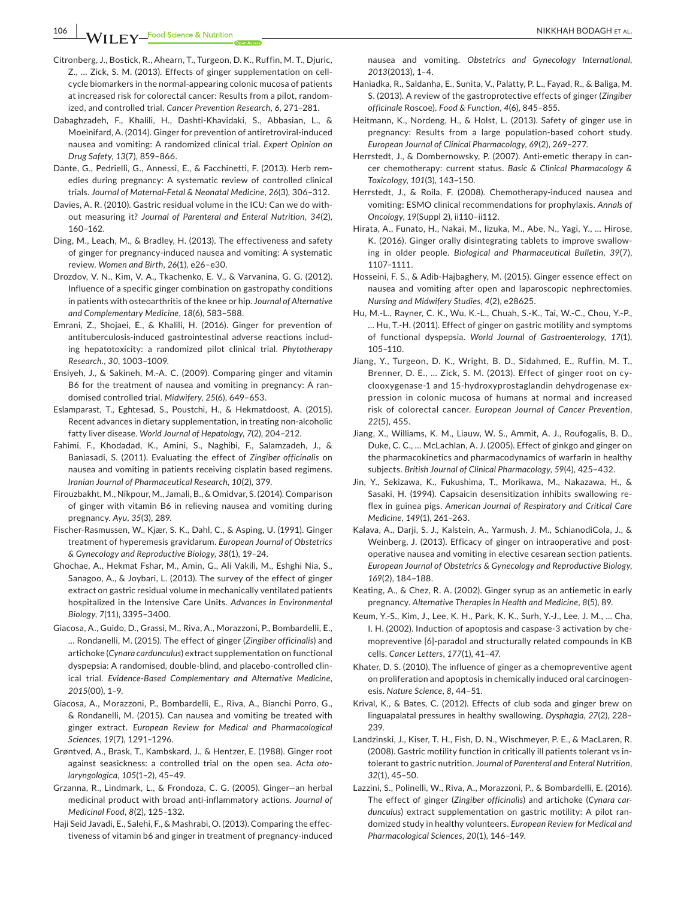106 **WII FY** Food Science & Nutrition **All According to the COLL CONTRACT CONTRACT ALL CONTRACT ALL CONTRACT ALL** 

- Citronberg, J., Bostick, R., Ahearn, T., Turgeon, D. K., Ruffin, M. T., Djuric, Z., … Zick, S. M. (2013). Effects of ginger supplementation on cellcycle biomarkers in the normal-appearing colonic mucosa of patients at increased risk for colorectal cancer: Results from a pilot, randomized, and controlled trial. *Cancer Prevention Research*, *6*, 271–281.
- Dabaghzadeh, F., Khalili, H., Dashti-Khavidaki, S., Abbasian, L., & Moeinifard, A. (2014). Ginger for prevention of antiretroviral-induced nausea and vomiting: A randomized clinical trial. *Expert Opinion on Drug Safety*, *13*(7), 859–866.
- Dante, G., Pedrielli, G., Annessi, E., & Facchinetti, F. (2013). Herb remedies during pregnancy: A systematic review of controlled clinical trials. *Journal of Maternal-Fetal & Neonatal Medicine*, *26*(3), 306–312.
- Davies, A. R. (2010). Gastric residual volume in the ICU: Can we do without measuring it? *Journal of Parenteral and Enteral Nutrition*, *34*(2), 160–162.
- Ding, M., Leach, M., & Bradley, H. (2013). The effectiveness and safety of ginger for pregnancy-induced nausea and vomiting: A systematic review. *Women and Birth*, *26*(1), e26–e30.
- Drozdov, V. N., Kim, V. A., Tkachenko, E. V., & Varvanina, G. G. (2012). Influence of a specific ginger combination on gastropathy conditions in patients with osteoarthritis of the knee or hip. *Journal of Alternative and Complementary Medicine*, *18*(6), 583–588.
- Emrani, Z., Shojaei, E., & Khalili, H. (2016). Ginger for prevention of antituberculosis-induced gastrointestinal adverse reactions including hepatotoxicity: a randomized pilot clinical trial. *Phytotherapy Research.*, *30*, 1003–1009.
- Ensiyeh, J., & Sakineh, M.-A. C. (2009). Comparing ginger and vitamin B6 for the treatment of nausea and vomiting in pregnancy: A randomised controlled trial. *Midwifery*, *25*(6), 649–653.
- Eslamparast, T., Eghtesad, S., Poustchi, H., & Hekmatdoost, A. (2015). Recent advances in dietary supplementation, in treating non-alcoholic fatty liver disease. *World Journal of Hepatology*, *7*(2), 204–212.
- Fahimi, F., Khodadad, K., Amini, S., Naghibi, F., Salamzadeh, J., & Baniasadi, S. (2011). Evaluating the effect of *Zingiber officinalis* on nausea and vomiting in patients receiving cisplatin based regimens. *Iranian Journal of Pharmaceutical Research*, *10*(2), 379.
- Firouzbakht, M., Nikpour, M., Jamali, B., & Omidvar, S. (2014). Comparison of ginger with vitamin B6 in relieving nausea and vomiting during pregnancy. *Ayu*, *35*(3), 289.
- Fischer-Rasmussen, W., Kjær, S. K., Dahl, C., & Asping, U. (1991). Ginger treatment of hyperemesis gravidarum. *European Journal of Obstetrics & Gynecology and Reproductive Biology*, *38*(1), 19–24.
- Ghochae, A., Hekmat Fshar, M., Amin, G., Ali Vakili, M., Eshghi Nia, S., Sanagoo, A., & Joybari, L. (2013). The survey of the effect of ginger extract on gastric residual volume in mechanically ventilated patients hospitalized in the Intensive Care Units. *Advances in Environmental Biology*, *7*(11), 3395–3400.
- Giacosa, A., Guido, D., Grassi, M., Riva, A., Morazzoni, P., Bombardelli, E., … Rondanelli, M. (2015). The effect of ginger (*Zingiber officinalis*) and artichoke (*Cynara cardunculus*) extract supplementation on functional dyspepsia: A randomised, double-blind, and placebo-controlled clinical trial. *Evidence-Based Complementary and Alternative Medicine*, *2015*(00), 1–9.
- Giacosa, A., Morazzoni, P., Bombardelli, E., Riva, A., Bianchi Porro, G., & Rondanelli, M. (2015). Can nausea and vomiting be treated with ginger extract. *European Review for Medical and Pharmacological Sciences*, *19*(7), 1291–1296.
- Grøntved, A., Brask, T., Kambskard, J., & Hentzer, E. (1988). Ginger root against seasickness: a controlled trial on the open sea. *Acta otolaryngologica*, *105*(1–2), 45–49.
- Grzanna, R., Lindmark, L., & Frondoza, C. G. (2005). Ginger—an herbal medicinal product with broad anti-inflammatory actions. *Journal of Medicinal Food*, *8*(2), 125–132.
- Haji Seid Javadi, E., Salehi, F., & Mashrabi, O. (2013). Comparing the effectiveness of vitamin b6 and ginger in treatment of pregnancy-induced

nausea and vomiting. *Obstetrics and Gynecology International*, *2013*(2013), 1–4.

- Haniadka, R., Saldanha, E., Sunita, V., Palatty, P. L., Fayad, R., & Baliga, M. S. (2013). A review of the gastroprotective effects of ginger (*Zingiber officinale* Roscoe). *Food & Function*, *4*(6), 845–855.
- Heitmann, K., Nordeng, H., & Holst, L. (2013). Safety of ginger use in pregnancy: Results from a large population-based cohort study. *European Journal of Clinical Pharmacology*, *69*(2), 269–277.
- Herrstedt, J., & Dombernowsky, P. (2007). Anti-emetic therapy in cancer chemotherapy: current status. *Basic & Clinical Pharmacology & Toxicology*, *101*(3), 143–150.
- Herrstedt, J., & Roila, F. (2008). Chemotherapy-induced nausea and vomiting: ESMO clinical recommendations for prophylaxis. *Annals of Oncology*, *19*(Suppl 2), ii110–ii112.
- Hirata, A., Funato, H., Nakai, M., Iizuka, M., Abe, N., Yagi, Y., … Hirose, K. (2016). Ginger orally disintegrating tablets to improve swallowing in older people. *Biological and Pharmaceutical Bulletin*, *39*(7), 1107–1111.
- Hosseini, F. S., & Adib-Hajbaghery, M. (2015). Ginger essence effect on nausea and vomiting after open and laparoscopic nephrectomies. *Nursing and Midwifery Studies*, *4*(2), e28625.
- Hu, M.-L., Rayner, C. K., Wu, K.-L., Chuah, S.-K., Tai, W.-C., Chou, Y.-P., … Hu, T.-H. (2011). Effect of ginger on gastric motility and symptoms of functional dyspepsia. *World Journal of Gastroenterology*, *17*(1), 105–110.
- Jiang, Y., Turgeon, D. K., Wright, B. D., Sidahmed, E., Ruffin, M. T., Brenner, D. E., … Zick, S. M. (2013). Effect of ginger root on cyclooxygenase-1 and 15-hydroxyprostaglandin dehydrogenase expression in colonic mucosa of humans at normal and increased risk of colorectal cancer. *European Journal of Cancer Prevention*, *22*(5), 455.
- Jiang, X., Williams, K. M., Liauw, W. S., Ammit, A. J., Roufogalis, B. D., Duke, C. C., … McLachlan, A. J. (2005). Effect of ginkgo and ginger on the pharmacokinetics and pharmacodynamics of warfarin in healthy subjects. *British Journal of Clinical Pharmacology*, *59*(4), 425–432.
- Jin, Y., Sekizawa, K., Fukushima, T., Morikawa, M., Nakazawa, H., & Sasaki, H. (1994). Capsaicin desensitization inhibits swallowing reflex in guinea pigs. *American Journal of Respiratory and Critical Care Medicine*, *149*(1), 261–263.
- Kalava, A., Darji, S. J., Kalstein, A., Yarmush, J. M., SchianodiCola, J., & Weinberg, J. (2013). Efficacy of ginger on intraoperative and postoperative nausea and vomiting in elective cesarean section patients. *European Journal of Obstetrics & Gynecology and Reproductive Biology*, *169*(2), 184–188.
- Keating, A., & Chez, R. A. (2002). Ginger syrup as an antiemetic in early pregnancy. *Alternative Therapies in Health and Medicine*, *8*(5), 89.
- Keum, Y.-S., Kim, J., Lee, K. H., Park, K. K., Surh, Y.-J., Lee, J. M., … Cha, I. H. (2002). Induction of apoptosis and caspase-3 activation by chemopreventive [6]-paradol and structurally related compounds in KB cells. *Cancer Letters*, *177*(1), 41–47.
- Khater, D. S. (2010). The influence of ginger as a chemopreventive agent on proliferation and apoptosis in chemically induced oral carcinogenesis. *Nature Science*, *8*, 44–51.
- Krival, K., & Bates, C. (2012). Effects of club soda and ginger brew on linguapalatal pressures in healthy swallowing. *Dysphagia*, *27*(2), 228– 239.
- Landzinski, J., Kiser, T. H., Fish, D. N., Wischmeyer, P. E., & MacLaren, R. (2008). Gastric motility function in critically ill patients tolerant vs intolerant to gastric nutrition. *Journal of Parenteral and Enteral Nutrition*, *32*(1), 45–50.
- Lazzini, S., Polinelli, W., Riva, A., Morazzoni, P., & Bombardelli, E. (2016). The effect of ginger (*Zingiber officinalis*) and artichoke (*Cynara cardunculus*) extract supplementation on gastric motility: A pilot randomized study in healthy volunteers. *European Review for Medical and Pharmacological Sciences*, *20*(1), 146–149.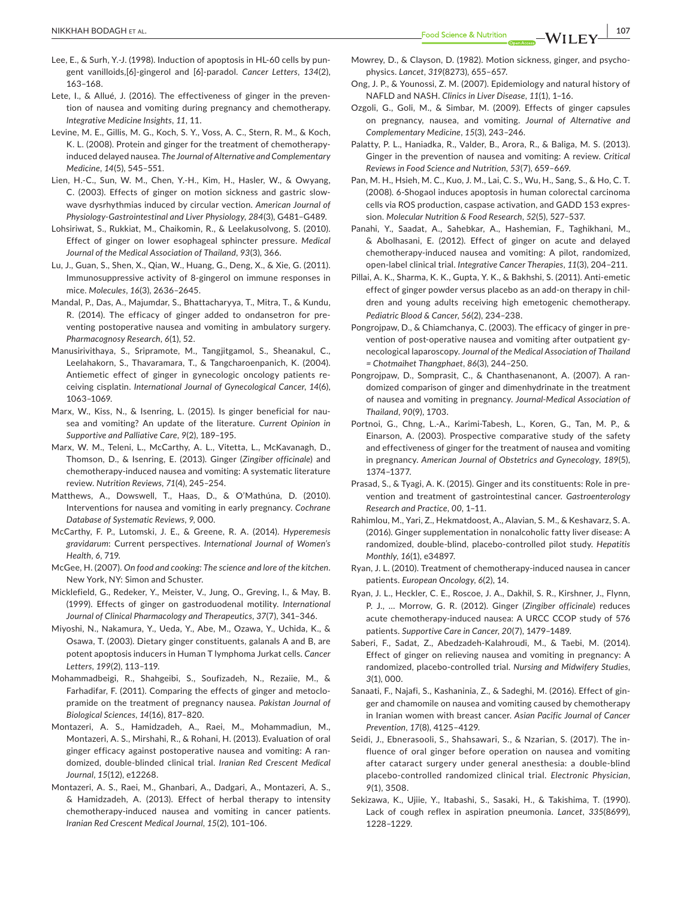- Lee, E., & Surh, Y.-J. (1998). Induction of apoptosis in HL-60 cells by pungent vanilloids,[6]-gingerol and [6]-paradol. *Cancer Letters*, *134*(2), 163–168.
- Lete, I., & Allué, J. (2016). The effectiveness of ginger in the prevention of nausea and vomiting during pregnancy and chemotherapy. *Integrative Medicine Insights*, *11*, 11.
- Levine, M. E., Gillis, M. G., Koch, S. Y., Voss, A. C., Stern, R. M., & Koch, K. L. (2008). Protein and ginger for the treatment of chemotherapyinduced delayed nausea. *The Journal of Alternative and Complementary Medicine*, *14*(5), 545–551.
- Lien, H.-C., Sun, W. M., Chen, Y.-H., Kim, H., Hasler, W., & Owyang, C. (2003). Effects of ginger on motion sickness and gastric slowwave dysrhythmias induced by circular vection. *American Journal of Physiology-Gastrointestinal and Liver Physiology*, *284*(3), G481–G489.
- Lohsiriwat, S., Rukkiat, M., Chaikomin, R., & Leelakusolvong, S. (2010). Effect of ginger on lower esophageal sphincter pressure. *Medical Journal of the Medical Association of Thailand*, *93*(3), 366.
- Lu, J., Guan, S., Shen, X., Qian, W., Huang, G., Deng, X., & Xie, G. (2011). Immunosuppressive activity of 8-gingerol on immune responses in mice. *Molecules*, *16*(3), 2636–2645.
- Mandal, P., Das, A., Majumdar, S., Bhattacharyya, T., Mitra, T., & Kundu, R. (2014). The efficacy of ginger added to ondansetron for preventing postoperative nausea and vomiting in ambulatory surgery. *Pharmacognosy Research*, *6*(1), 52.
- Manusirivithaya, S., Sripramote, M., Tangjitgamol, S., Sheanakul, C., Leelahakorn, S., Thavaramara, T., & Tangcharoenpanich, K. (2004). Antiemetic effect of ginger in gynecologic oncology patients receiving cisplatin. *International Journal of Gynecological Cancer*, *14*(6), 1063–1069.
- Marx, W., Kiss, N., & Isenring, L. (2015). Is ginger beneficial for nausea and vomiting? An update of the literature. *Current Opinion in Supportive and Palliative Care*, *9*(2), 189–195.
- Marx, W. M., Teleni, L., McCarthy, A. L., Vitetta, L., McKavanagh, D., Thomson, D., & Isenring, E. (2013). Ginger (*Zingiber officinale*) and chemotherapy-induced nausea and vomiting: A systematic literature review. *Nutrition Reviews*, *71*(4), 245–254.
- Matthews, A., Dowswell, T., Haas, D., & O'Mathúna, D. (2010). Interventions for nausea and vomiting in early pregnancy. *Cochrane Database of Systematic Reviews*, *9*, 000.
- McCarthy, F. P., Lutomski, J. E., & Greene, R. A. (2014). *Hyperemesis gravidarum*: Current perspectives. *International Journal of Women's Health*, *6*, 719.
- McGee, H. (2007). *On food and cooking: The science and lore of the kitchen*. New York, NY: Simon and Schuster.
- Micklefield, G., Redeker, Y., Meister, V., Jung, O., Greving, I., & May, B. (1999). Effects of ginger on gastroduodenal motility. *International Journal of Clinical Pharmacology and Therapeutics*, *37*(7), 341–346.
- Miyoshi, N., Nakamura, Y., Ueda, Y., Abe, M., Ozawa, Y., Uchida, K., & Osawa, T. (2003). Dietary ginger constituents, galanals A and B, are potent apoptosis inducers in Human T lymphoma Jurkat cells. *Cancer Letters*, *199*(2), 113–119.
- Mohammadbeigi, R., Shahgeibi, S., Soufizadeh, N., Rezaiie, M., & Farhadifar, F. (2011). Comparing the effects of ginger and metoclopramide on the treatment of pregnancy nausea. *Pakistan Journal of Biological Sciences*, *14*(16), 817–820.
- Montazeri, A. S., Hamidzadeh, A., Raei, M., Mohammadiun, M., Montazeri, A. S., Mirshahi, R., & Rohani, H. (2013). Evaluation of oral ginger efficacy against postoperative nausea and vomiting: A randomized, double-blinded clinical trial. *Iranian Red Crescent Medical Journal*, *15*(12), e12268.
- Montazeri, A. S., Raei, M., Ghanbari, A., Dadgari, A., Montazeri, A. S., & Hamidzadeh, A. (2013). Effect of herbal therapy to intensity chemotherapy-induced nausea and vomiting in cancer patients. *Iranian Red Crescent Medical Journal*, *15*(2), 101–106.
- Mowrey, D., & Clayson, D. (1982). Motion sickness, ginger, and psychophysics. *Lancet*, *319*(8273), 655–657.
- Ong, J. P., & Younossi, Z. M. (2007). Epidemiology and natural history of NAFLD and NASH. *Clinics in Liver Disease*, *11*(1), 1–16.
- Ozgoli, G., Goli, M., & Simbar, M. (2009). Effects of ginger capsules on pregnancy, nausea, and vomiting. *Journal of Alternative and Complementary Medicine*, *15*(3), 243–246.
- Palatty, P. L., Haniadka, R., Valder, B., Arora, R., & Baliga, M. S. (2013). Ginger in the prevention of nausea and vomiting: A review. *Critical Reviews in Food Science and Nutrition*, *53*(7), 659–669.
- Pan, M. H., Hsieh, M. C., Kuo, J. M., Lai, C. S., Wu, H., Sang, S., & Ho, C. T. (2008). 6-Shogaol induces apoptosis in human colorectal carcinoma cells via ROS production, caspase activation, and GADD 153 expression. *Molecular Nutrition & Food Research*, *52*(5), 527–537.
- Panahi, Y., Saadat, A., Sahebkar, A., Hashemian, F., Taghikhani, M., & Abolhasani, E. (2012). Effect of ginger on acute and delayed chemotherapy-induced nausea and vomiting: A pilot, randomized, open-label clinical trial. *Integrative Cancer Therapies*, *11*(3), 204–211.
- Pillai, A. K., Sharma, K. K., Gupta, Y. K., & Bakhshi, S. (2011). Anti-emetic effect of ginger powder versus placebo as an add-on therapy in children and young adults receiving high emetogenic chemotherapy. *Pediatric Blood & Cancer*, *56*(2), 234–238.
- Pongrojpaw, D., & Chiamchanya, C. (2003). The efficacy of ginger in prevention of post-operative nausea and vomiting after outpatient gynecological laparoscopy. *Journal of the Medical Association of Thailand = Chotmaihet Thangphaet*, *86*(3), 244–250.
- Pongrojpaw, D., Somprasit, C., & Chanthasenanont, A. (2007). A randomized comparison of ginger and dimenhydrinate in the treatment of nausea and vomiting in pregnancy. *Journal-Medical Association of Thailand*, *90*(9), 1703.
- Portnoi, G., Chng, L.-A., Karimi-Tabesh, L., Koren, G., Tan, M. P., & Einarson, A. (2003). Prospective comparative study of the safety and effectiveness of ginger for the treatment of nausea and vomiting in pregnancy. *American Journal of Obstetrics and Gynecology*, *189*(5), 1374–1377.
- Prasad, S., & Tyagi, A. K. (2015). Ginger and its constituents: Role in prevention and treatment of gastrointestinal cancer. *Gastroenterology Research and Practice*, *00*, 1–11.
- Rahimlou, M., Yari, Z., Hekmatdoost, A., Alavian, S. M., & Keshavarz, S. A. (2016). Ginger supplementation in nonalcoholic fatty liver disease: A randomized, double-blind, placebo-controlled pilot study. *Hepatitis Monthly*, *16*(1), e34897.
- Ryan, J. L. (2010). Treatment of chemotherapy-induced nausea in cancer patients. *European Oncology*, *6*(2), 14.
- Ryan, J. L., Heckler, C. E., Roscoe, J. A., Dakhil, S. R., Kirshner, J., Flynn, P. J., … Morrow, G. R. (2012). Ginger (*Zingiber officinale*) reduces acute chemotherapy-induced nausea: A URCC CCOP study of 576 patients. *Supportive Care in Cancer*, *20*(7), 1479–1489.
- Saberi, F., Sadat, Z., Abedzadeh-Kalahroudi, M., & Taebi, M. (2014). Effect of ginger on relieving nausea and vomiting in pregnancy: A randomized, placebo-controlled trial. *Nursing and Midwifery Studies*, *3*(1), 000.
- Sanaati, F., Najafi, S., Kashaninia, Z., & Sadeghi, M. (2016). Effect of ginger and chamomile on nausea and vomiting caused by chemotherapy in Iranian women with breast cancer. *Asian Pacific Journal of Cancer Prevention*, *17*(8), 4125–4129.
- Seidi, J., Ebnerasooli, S., Shahsawari, S., & Nzarian, S. (2017). The influence of oral ginger before operation on nausea and vomiting after cataract surgery under general anesthesia: a double-blind placebo-controlled randomized clinical trial. *Electronic Physician*, *9*(1), 3508.
- Sekizawa, K., Ujiie, Y., Itabashi, S., Sasaki, H., & Takishima, T. (1990). Lack of cough reflex in aspiration pneumonia. *Lancet*, *335*(8699), 1228–1229.